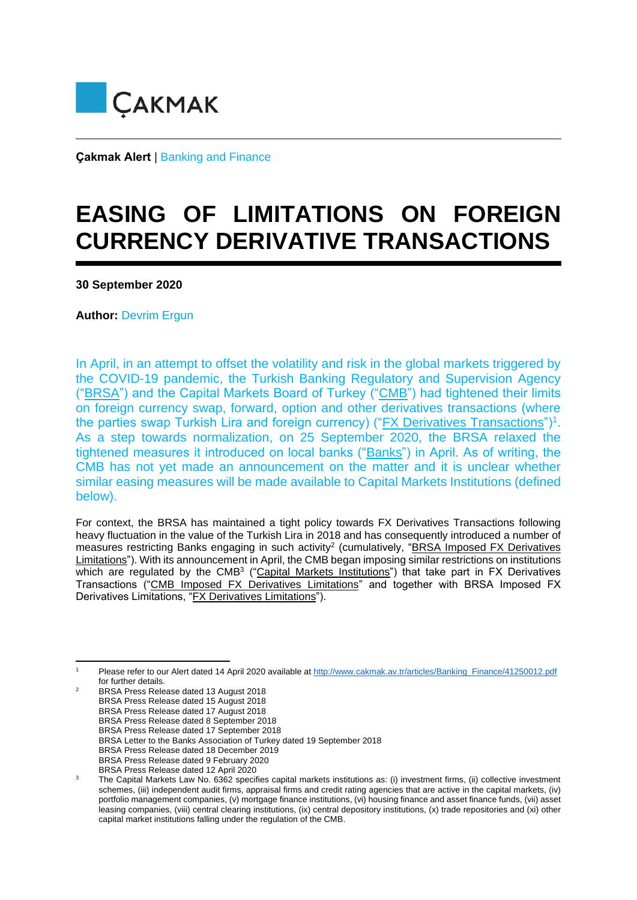

**Çakmak Alert** | Banking and Finance

## **EASING OF LIMITATIONS ON FOREIGN CURRENCY DERIVATIVE TRANSACTIONS**

**30 September 2020** 

**Author: Devrim Ergun** 

In April, in an attempt to offset the volatility and risk in the global markets triggered by the COVID-19 pandemic, the Turkish Banking Regulatory and Supervision Agency ("BRSA") and the Capital Markets Board of Turkey ("CMB") had tightened their limits on foreign currency swap, forward, option and other derivatives transactions (where the parties swap Turkish Lira and foreign currency) ("*FX Derivatives Transactions*")<sup>1</sup>. As a step towards normalization, on 25 September 2020, the BRSA relaxed the tightened measures it introduced on local banks ("Banks") in April. As of writing, the CMB has not yet made an announcement on the matter and it is unclear whether similar easing measures will be made available to Capital Markets Institutions (defined below).

For context, the BRSA has maintained a tight policy towards FX Derivatives Transactions following heavy fluctuation in the value of the Turkish Lira in 2018 and has consequently introduced a number of measures restricting Banks engaging in such activity<sup>2</sup> (cumulatively, "BRSA Imposed FX Derivatives Limitations"). With its announcement in April, the CMB began imposing similar restrictions on institutions which are regulated by the CMB<sup>3</sup> ("Capital Markets Institutions") that take part in FX Derivatives Transactions ("CMB Imposed FX Derivatives Limitations" and together with BRSA Imposed FX Derivatives Limitations, "FX Derivatives Limitations").

Please refer to our Alert dated 14 April 2020 available at [http://www.cakmak.av.tr/articles/Banking\\_Finance/41250012.pdf](http://www.cakmak.av.tr/articles/Banking_Finance/41250012.pdf) for further details.

<sup>2</sup> BRSA Press Release dated 13 August 2018

BRSA Press Release dated 15 August 2018

BRSA Press Release dated 17 August 2018

BRSA Press Release dated 8 September 2018

BRSA Press Release dated 17 September 2018

BRSA Letter to the Banks Association of Turkey dated 19 September 2018

BRSA Press Release dated 18 December 2019

BRSA Press Release dated 9 February 2020

BRSA Press Release dated 12 April 2020

<sup>3</sup> The Capital Markets Law No. 6362 specifies capital markets institutions as: (i) investment firms, (ii) collective investment schemes, (iii) independent audit firms, appraisal firms and credit rating agencies that are active in the capital markets, (iv) portfolio management companies, (v) mortgage finance institutions, (vi) housing finance and asset finance funds, (vii) asset leasing companies, (viii) central clearing institutions, (ix) central depository institutions, (x) trade repositories and (xi) other capital market institutions falling under the regulation of the CMB.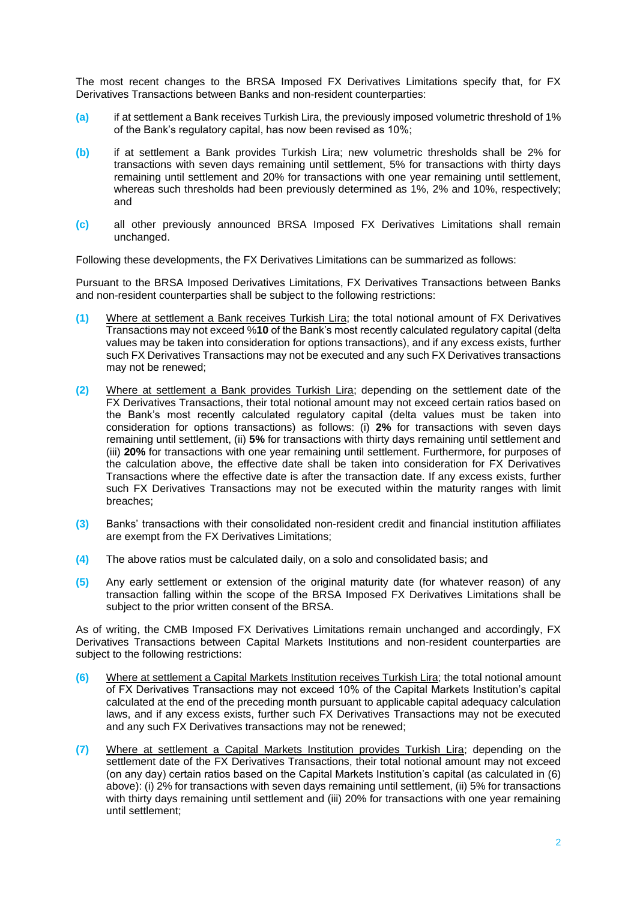The most recent changes to the BRSA Imposed FX Derivatives Limitations specify that, for FX Derivatives Transactions between Banks and non-resident counterparties:

- **(a)** if at settlement a Bank receives Turkish Lira, the previously imposed volumetric threshold of 1% of the Bank's regulatory capital, has now been revised as 10%;
- **(b)** if at settlement a Bank provides Turkish Lira; new volumetric thresholds shall be 2% for transactions with seven days remaining until settlement, 5% for transactions with thirty days remaining until settlement and 20% for transactions with one year remaining until settlement, whereas such thresholds had been previously determined as 1%, 2% and 10%, respectively; and
- **(c)** all other previously announced BRSA Imposed FX Derivatives Limitations shall remain unchanged.

Following these developments, the FX Derivatives Limitations can be summarized as follows:

Pursuant to the BRSA Imposed Derivatives Limitations, FX Derivatives Transactions between Banks and non-resident counterparties shall be subject to the following restrictions:

- **(1)** Where at settlement a Bank receives Turkish Lira; the total notional amount of FX Derivatives Transactions may not exceed %**10** of the Bank's most recently calculated regulatory capital (delta values may be taken into consideration for options transactions), and if any excess exists, further such FX Derivatives Transactions may not be executed and any such FX Derivatives transactions may not be renewed;
- **(2)** Where at settlement a Bank provides Turkish Lira; depending on the settlement date of the FX Derivatives Transactions, their total notional amount may not exceed certain ratios based on the Bank's most recently calculated regulatory capital (delta values must be taken into consideration for options transactions) as follows: (i) **2%** for transactions with seven days remaining until settlement, (ii) **5%** for transactions with thirty days remaining until settlement and (iii) **20%** for transactions with one year remaining until settlement. Furthermore, for purposes of the calculation above, the effective date shall be taken into consideration for FX Derivatives Transactions where the effective date is after the transaction date. If any excess exists, further such FX Derivatives Transactions may not be executed within the maturity ranges with limit breaches;
- **(3)** Banks' transactions with their consolidated non-resident credit and financial institution affiliates are exempt from the FX Derivatives Limitations;
- **(4)** The above ratios must be calculated daily, on a solo and consolidated basis; and
- **(5)** Any early settlement or extension of the original maturity date (for whatever reason) of any transaction falling within the scope of the BRSA Imposed FX Derivatives Limitations shall be subject to the prior written consent of the BRSA.

As of writing, the CMB Imposed FX Derivatives Limitations remain unchanged and accordingly, FX Derivatives Transactions between Capital Markets Institutions and non-resident counterparties are subject to the following restrictions:

- **(6)** Where at settlement a Capital Markets Institution receives Turkish Lira; the total notional amount of FX Derivatives Transactions may not exceed 10% of the Capital Markets Institution's capital calculated at the end of the preceding month pursuant to applicable capital adequacy calculation laws, and if any excess exists, further such FX Derivatives Transactions may not be executed and any such FX Derivatives transactions may not be renewed;
- **(7)** Where at settlement a Capital Markets Institution provides Turkish Lira; depending on the settlement date of the FX Derivatives Transactions, their total notional amount may not exceed (on any day) certain ratios based on the Capital Markets Institution's capital (as calculated in (6) above): (i) 2% for transactions with seven days remaining until settlement, (ii) 5% for transactions with thirty days remaining until settlement and (iii) 20% for transactions with one year remaining until settlement;